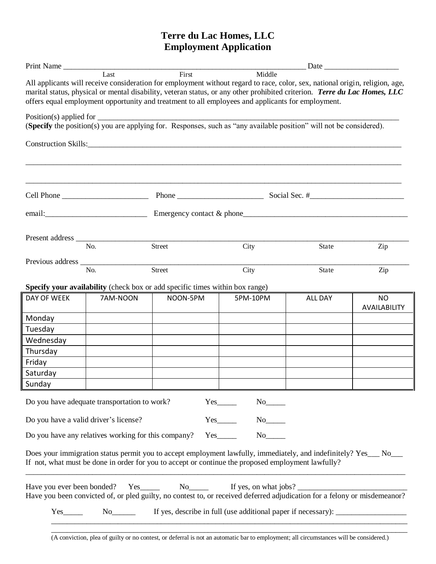# **Terre du Lac Homes, LLC Employment Application**

| Print Name                 |                                                     |                                                                                                                                                                                                                                                                                                                                                                         |                                                                                  |                |                    |
|----------------------------|-----------------------------------------------------|-------------------------------------------------------------------------------------------------------------------------------------------------------------------------------------------------------------------------------------------------------------------------------------------------------------------------------------------------------------------------|----------------------------------------------------------------------------------|----------------|--------------------|
|                            | Last                                                | First<br>All applicants will receive consideration for employment without regard to race, color, sex, national origin, religion, age,<br>marital status, physical or mental disability, veteran status, or any other prohibited criterion. Terre du Lac Homes, LLC<br>offers equal employment opportunity and treatment to all employees and applicants for employment. | Middle                                                                           |                |                    |
|                            |                                                     | (Specify the position(s) you are applying for. Responses, such as "any available position" will not be considered).                                                                                                                                                                                                                                                     |                                                                                  |                |                    |
|                            |                                                     | Construction Skills: No. 2014 19:30 19:30 19:30 19:30 19:30 19:30 19:30 19:30 19:30 19:30 19:30 19:30 19:30 19:30 19:30 19:30 19:30 19:30 19:30 19:30 19:30 19:30 19:30 19:30 19:30 19:30 19:30 19:30 19:30 19:30 19:30 19:30                                                                                                                                           |                                                                                  |                |                    |
|                            |                                                     |                                                                                                                                                                                                                                                                                                                                                                         |                                                                                  |                |                    |
|                            |                                                     |                                                                                                                                                                                                                                                                                                                                                                         |                                                                                  |                |                    |
|                            |                                                     |                                                                                                                                                                                                                                                                                                                                                                         |                                                                                  |                |                    |
|                            | No.                                                 | Street                                                                                                                                                                                                                                                                                                                                                                  | City                                                                             | State          | Zip                |
|                            | No.                                                 | Street                                                                                                                                                                                                                                                                                                                                                                  | City                                                                             | State          | Zip                |
|                            |                                                     | Specify your availability (check box or add specific times within box range)                                                                                                                                                                                                                                                                                            |                                                                                  |                |                    |
| DAY OF WEEK                | 7AM-NOON                                            | NOON-5PM                                                                                                                                                                                                                                                                                                                                                                | 5PM-10PM                                                                         | <b>ALL DAY</b> | NO<br>AVAILABILITY |
| Monday                     |                                                     |                                                                                                                                                                                                                                                                                                                                                                         |                                                                                  |                |                    |
| Tuesday                    |                                                     |                                                                                                                                                                                                                                                                                                                                                                         |                                                                                  |                |                    |
| Wednesday                  |                                                     |                                                                                                                                                                                                                                                                                                                                                                         |                                                                                  |                |                    |
| Thursday                   |                                                     |                                                                                                                                                                                                                                                                                                                                                                         |                                                                                  |                |                    |
| Friday                     |                                                     |                                                                                                                                                                                                                                                                                                                                                                         |                                                                                  |                |                    |
| Saturday                   |                                                     |                                                                                                                                                                                                                                                                                                                                                                         |                                                                                  |                |                    |
| Sunday                     |                                                     |                                                                                                                                                                                                                                                                                                                                                                         |                                                                                  |                |                    |
|                            | Do you have adequate transportation to work?        |                                                                                                                                                                                                                                                                                                                                                                         | $Yes$ <sub>________</sub>                                                        |                |                    |
|                            | Do you have a valid driver's license?               |                                                                                                                                                                                                                                                                                                                                                                         | $Yes$ <sub>________</sub>                                                        |                |                    |
|                            | Do you have any relatives working for this company? |                                                                                                                                                                                                                                                                                                                                                                         | $Yes$ <sub>________</sub>                                                        |                |                    |
|                            |                                                     | Does your immigration status permit you to accept employment lawfully, immediately, and indefinitely? Yes___ No___<br>If not, what must be done in order for you to accept or continue the proposed employment lawfully?                                                                                                                                                |                                                                                  |                |                    |
| Have you ever been bonded? |                                                     | $Yes$ <sub>1</sub><br>Have you been convicted of, or pled guilty, no contest to, or received deferred adjudication for a felony or misdemeanor?                                                                                                                                                                                                                         | If yes, on what jobs?                                                            |                |                    |
| $Yes$ <sub>_________</sub> | $No$ <sub>_________</sub>                           |                                                                                                                                                                                                                                                                                                                                                                         | If yes, describe in full (use additional paper if necessary): __________________ |                |                    |
|                            |                                                     |                                                                                                                                                                                                                                                                                                                                                                         |                                                                                  |                |                    |

(A conviction, plea of guilty or no contest, or deferral is not an automatic bar to employment; all circumstances will be considered.)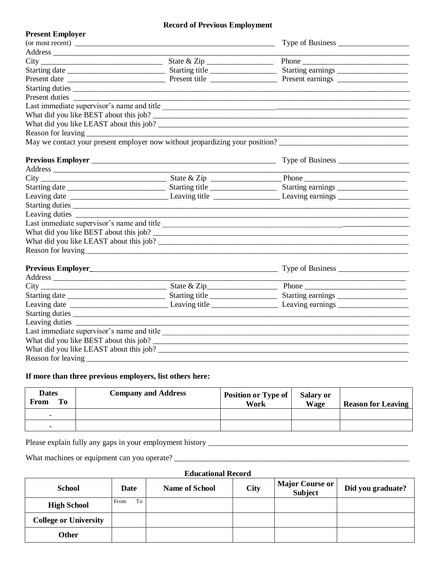#### **Record of Previous Employment**

| <b>Present Employer</b>                                                      |                                                               |                  |  |  |
|------------------------------------------------------------------------------|---------------------------------------------------------------|------------------|--|--|
|                                                                              |                                                               | Type of Business |  |  |
|                                                                              |                                                               |                  |  |  |
|                                                                              |                                                               |                  |  |  |
|                                                                              |                                                               |                  |  |  |
|                                                                              |                                                               |                  |  |  |
|                                                                              |                                                               |                  |  |  |
|                                                                              | <u> 1989 - Johann Barn, mars an t-Amerikaansk politiker (</u> |                  |  |  |
| Last immediate supervisor's name and title                                   |                                                               |                  |  |  |
|                                                                              |                                                               |                  |  |  |
| What did you like LEAST about this job?                                      |                                                               |                  |  |  |
|                                                                              |                                                               |                  |  |  |
| May we contact your present employer now without jeopardizing your position? |                                                               |                  |  |  |
|                                                                              |                                                               |                  |  |  |
|                                                                              |                                                               |                  |  |  |
|                                                                              |                                                               |                  |  |  |
|                                                                              |                                                               |                  |  |  |
|                                                                              |                                                               |                  |  |  |
| Starting duties                                                              |                                                               |                  |  |  |
|                                                                              |                                                               |                  |  |  |
| Last immediate supervisor's name and title                                   |                                                               |                  |  |  |
|                                                                              |                                                               |                  |  |  |
|                                                                              |                                                               |                  |  |  |
|                                                                              |                                                               |                  |  |  |
|                                                                              |                                                               |                  |  |  |
|                                                                              |                                                               |                  |  |  |
|                                                                              |                                                               |                  |  |  |
|                                                                              |                                                               |                  |  |  |
|                                                                              |                                                               |                  |  |  |
|                                                                              |                                                               |                  |  |  |
|                                                                              |                                                               |                  |  |  |
|                                                                              |                                                               |                  |  |  |
|                                                                              |                                                               |                  |  |  |
|                                                                              |                                                               |                  |  |  |
| Reason for leaving                                                           |                                                               |                  |  |  |

## **If more than three previous employers, list others here:**

| <b>Dates</b><br><b>From</b><br>To- | <b>Company and Address</b> | <b>Position or Type of</b><br>Work | Salary or<br><b>Wage</b> | <b>Reason for Leaving</b> |
|------------------------------------|----------------------------|------------------------------------|--------------------------|---------------------------|
| -                                  |                            |                                    |                          |                           |
|                                    |                            |                                    |                          |                           |

Please explain fully any gaps in your employment history \_\_\_\_\_\_\_\_\_\_\_\_\_\_\_\_\_\_\_\_\_\_\_\_\_\_\_\_\_\_\_\_\_\_\_\_\_\_\_\_\_\_\_\_\_\_\_\_\_\_\_

What machines or equipment can you operate? \_\_\_\_\_\_\_\_\_\_\_\_\_\_\_\_\_\_\_\_\_\_\_\_\_\_\_\_\_\_\_\_\_\_\_\_\_\_\_\_\_\_\_\_\_\_\_\_\_\_\_\_\_\_\_\_\_\_\_\_

#### **Educational Record**

| <b>School</b>                | Date       | <b>Name of School</b> | City | <b>Major Course or</b><br><b>Subject</b> | Did you graduate? |
|------------------------------|------------|-----------------------|------|------------------------------------------|-------------------|
| <b>High School</b>           | To<br>From |                       |      |                                          |                   |
| <b>College or University</b> |            |                       |      |                                          |                   |
| Other                        |            |                       |      |                                          |                   |